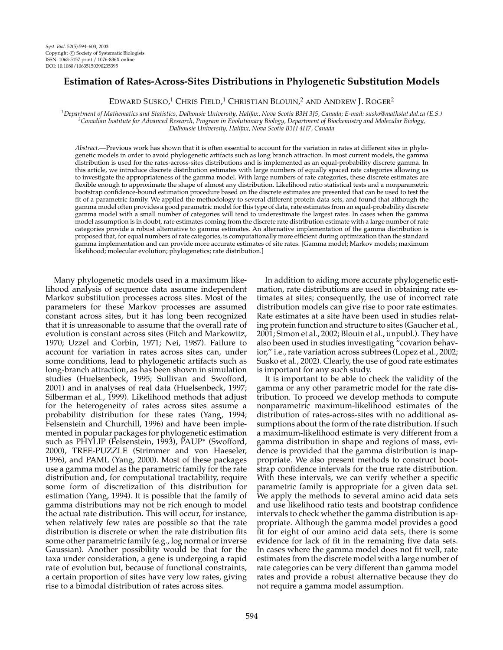# **Estimation of Rates-Across-Sites Distributions in Phylogenetic Substitution Models**

Edward Susko,<sup>1</sup> Chris Field,<sup>1</sup> Christian Blouin,<sup>2</sup> and Andrew J. Roger<sup>2</sup>

*1Department of Mathematics and Statistics, Dalhousie University, Halifax, Nova Scotia B3H 3J5, Canada; E-mail: susko@mathstat.dal.ca (E.S.) 2Canadian Institute for Advanced Research, Program in Evolutionary Biology, Department of Biochemistry and Molecular Biology, Dalhousie University, Halifax, Nova Scotia B3H 4H7, Canada*

*Abstract.—*Previous work has shown that it is often essential to account for the variation in rates at different sites in phylogenetic models in order to avoid phylogenetic artifacts such as long branch attraction. In most current models, the gamma distribution is used for the rates-across-sites distributions and is implemented as an equal-probability discrete gamma. In this article, we introduce discrete distribution estimates with large numbers of equally spaced rate categories allowing us to investigate the appropriateness of the gamma model. With large numbers of rate categories, these discrete estimates are flexible enough to approximate the shape of almost any distribution. Likelihood ratio statistical tests and a nonparametric bootstrap confidence-bound estimation procedure based on the discrete estimates are presented that can be used to test the fit of a parametric family. We applied the methodology to several different protein data sets, and found that although the gamma model often provides a good parametric model for this type of data, rate estimates from an equal-probability discrete gamma model with a small number of categories will tend to underestimate the largest rates. In cases when the gamma model assumption is in doubt, rate estimates coming from the discrete rate distribution estimate with a large number of rate categories provide a robust alternative to gamma estimates. An alternative implementation of the gamma distribution is proposed that, for equal numbers of rate categories, is computationally more efficient during optimization than the standard gamma implementation and can provide more accurate estimates of site rates. [Gamma model; Markov models; maximum likelihood; molecular evolution; phylogenetics; rate distribution.]

Many phylogenetic models used in a maximum likelihood analysis of sequence data assume independent Markov substitution processes across sites. Most of the parameters for these Markov processes are assumed constant across sites, but it has long been recognized that it is unreasonable to assume that the overall rate of evolution is constant across sites (Fitch and Markowitz, 1970; Uzzel and Corbin, 1971; Nei, 1987). Failure to account for variation in rates across sites can, under some conditions, lead to phylogenetic artifacts such as long-branch attraction, as has been shown in simulation studies (Huelsenbeck, 1995; Sullivan and Swofford, 2001) and in analyses of real data (Huelsenbeck, 1997; Silberman et al., 1999). Likelihood methods that adjust for the heterogeneity of rates across sites assume a probability distribution for these rates (Yang, 1994; Felsenstein and Churchill, 1996) and have been implemented in popular packages for phylogenetic estimation such as PHYLIP (Felsenstein, 1993), PAUP<sup>∗</sup> (Swofford, 2000), TREE-PUZZLE (Strimmer and von Haeseler, 1996), and PAML (Yang, 2000). Most of these packages use a gamma model as the parametric family for the rate distribution and, for computational tractability, require some form of discretization of this distribution for estimation (Yang, 1994). It is possible that the family of gamma distributions may not be rich enough to model the actual rate distribution. This will occur, for instance, when relatively few rates are possible so that the rate distribution is discrete or when the rate distribution fits some other parametric family (e.g., log normal or inverse Gaussian). Another possibility would be that for the taxa under consideration, a gene is undergoing a rapid rate of evolution but, because of functional constraints, a certain proportion of sites have very low rates, giving rise to a bimodal distribution of rates across sites.

In addition to aiding more accurate phylogenetic estimation, rate distributions are used in obtaining rate estimates at sites; consequently, the use of incorrect rate distribution models can give rise to poor rate estimates. Rate estimates at a site have been used in studies relating protein function and structure to sites (Gaucher et al., 2001; Simon et al., 2002; Blouin et al., unpubl.). They have also been used in studies investigating "covarion behavior," i.e., rate variation across subtrees (Lopez et al., 2002; Susko et al., 2002). Clearly, the use of good rate estimates is important for any such study.

It is important to be able to check the validity of the gamma or any other parametric model for the rate distribution. To proceed we develop methods to compute nonparametric maximum-likelihood estimates of the distribution of rates-across-sites with no additional assumptions about the form of the rate distribution. If such a maximum-likelihood estimate is very different from a gamma distribution in shape and regions of mass, evidence is provided that the gamma distribution is inappropriate. We also present methods to construct bootstrap confidence intervals for the true rate distribution. With these intervals, we can verify whether a specific parametric family is appropriate for a given data set. We apply the methods to several amino acid data sets and use likelihood ratio tests and bootstrap confidence intervals to check whether the gamma distribution is appropriate. Although the gamma model provides a good fit for eight of our amino acid data sets, there is some evidence for lack of fit in the remaining five data sets. In cases where the gamma model does not fit well, rate estimates from the discrete model with a large number of rate categories can be very different than gamma model rates and provide a robust alternative because they do not require a gamma model assumption.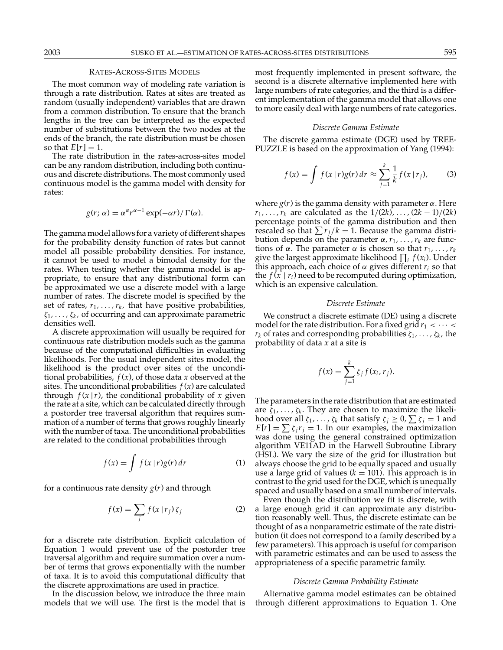# RATES-ACROSS-SITES MODELS

The most common way of modeling rate variation is through a rate distribution. Rates at sites are treated as random (usually independent) variables that are drawn from a common distribution. To ensure that the branch lengths in the tree can be interpreted as the expected number of substitutions between the two nodes at the ends of the branch, the rate distribution must be chosen so that  $E[r] = 1$ .

The rate distribution in the rates-across-sites model can be any random distribution, including both continuous and discrete distributions. The most commonly used continuous model is the gamma model with density for rates:

$$
g(r; \alpha) = \alpha^{\alpha} r^{\alpha - 1} \exp(-\alpha r) / \Gamma(\alpha).
$$

The gamma model allows for a variety of different shapes for the probability density function of rates but cannot model all possible probability densities. For instance, it cannot be used to model a bimodal density for the rates. When testing whether the gamma model is appropriate, to ensure that any distributional form can be approximated we use a discrete model with a large number of rates. The discrete model is specified by the set of rates,  $r_1, \ldots, r_k$ , that have positive probabilities, ζ1*,* ... *,* ζ*<sup>k</sup> ,* of occurring and can approximate parametric densities well.

A discrete approximation will usually be required for continuous rate distribution models such as the gamma because of the computational difficulties in evaluating likelihoods. For the usual independent sites model, the likelihood is the product over sites of the unconditional probabilities, *f* (*x*), of those data *x* observed at the sites. The unconditional probabilities *f* (*x*) are calculated through  $f(x | r)$ , the conditional probability of x given the rate at a site, which can be calculated directly through a postorder tree traversal algorithm that requires summation of a number of terms that grows roughly linearly with the number of taxa. The unconditional probabilities are related to the conditional probabilities through

$$
f(x) = \int f(x | r)g(r) dr \tag{1}
$$

for a continuous rate density *g*(*r*) and through

$$
f(x) = \sum_{j} f(x | r_j) \zeta_j
$$
 (2)

for a discrete rate distribution. Explicit calculation of Equation 1 would prevent use of the postorder tree traversal algorithm and require summation over a number of terms that grows exponentially with the number of taxa. It is to avoid this computational difficulty that the discrete approximations are used in practice.

In the discussion below, we introduce the three main models that we will use. The first is the model that is most frequently implemented in present software, the second is a discrete alternative implemented here with large numbers of rate categories, and the third is a different implementation of the gamma model that allows one to more easily deal with large numbers of rate categories.

## *Discrete Gamma Estimate*

The discrete gamma estimate (DGE) used by TREE-PUZZLE is based on the approximation of Yang (1994):

$$
f(x) = \int f(x | r)g(r) dr \approx \sum_{j=1}^{k} \frac{1}{k} f(x | r_j),
$$
 (3)

where  $g(r)$  is the gamma density with parameter  $\alpha$ . Here *r*<sub>1</sub>*,* ... *, r*<sub>*k*</sub> are calculated as the  $1/(2k)$ , ... *,*  $(2k - 1)/(2k)$ percentage points of the gamma distribution and then rescaled so that  $\sum r_j/k = 1$ . Because the gamma distribution depends on the parameter  $\alpha$ ,  $r_1$ , ...,  $r_k$  are functions of  $\alpha$ . The parameter  $\alpha$  is chosen so that  $r_1, \ldots, r_k$ give the largest approximate likelihood  $\prod_i f(x_i)$ . Under this approach, each choice of  $\alpha$  gives different  $r_i$  so that the  $f(x \mid r_i)$  need to be recomputed during optimization, which is an expensive calculation.

# *Discrete Estimate*

We construct a discrete estimate (DE) using a discrete model for the rate distribution. For a fixed grid  $r_1 < \cdots < r_n$ *r*<sub>*k*</sub> of rates and corresponding probabilities  $\zeta_1, \ldots, \zeta_k$ , the probability of data *x* at a site is

$$
f(x) = \sum_{j=1}^k \zeta_j f(x_i, r_j).
$$

The parameters in the rate distribution that are estimated are  $\zeta_1, \ldots, \zeta_k$ . They are chosen to maximize the likelihood over all  $\zeta_1, \ldots, \zeta_k$  that satisfy  $\zeta_j \geq 0$ ,  $\sum \zeta_j = 1$  and  $E[r] = \sum \zeta_i r_i = 1$ . In our examples, the maximization was done using the general constrained optimization algorithm VE11AD in the Harwell Subroutine Library (HSL). We vary the size of the grid for illustration but always choose the grid to be equally spaced and usually use a large grid of values  $(k = 101)$ . This approach is in contrast to the grid used for the DGE, which is unequally spaced and usually based on a small number of intervals.

Even though the distribution we fit is discrete, with a large enough grid it can approximate any distribution reasonably well. Thus, the discrete estimate can be thought of as a nonparametric estimate of the rate distribution (it does not correspond to a family described by a few parameters). This approach is useful for comparison with parametric estimates and can be used to assess the appropriateness of a specific parametric family.

#### *Discrete Gamma Probability Estimate*

Alternative gamma model estimates can be obtained through different approximations to Equation 1. One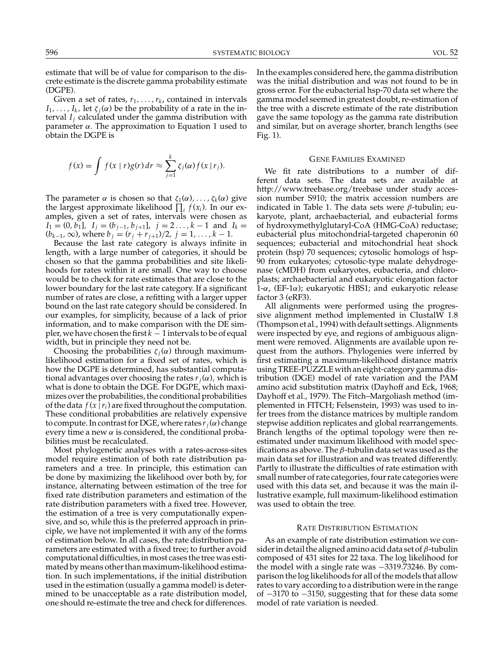estimate that will be of value for comparison to the discrete estimate is the discrete gamma probability estimate (DGPE).

Given a set of rates,  $r_1, \ldots, r_k$ , contained in intervals *I*<sub>1</sub>, ..., *I*<sub>k</sub>, let  $\zeta_i(\alpha)$  be the probability of a rate in the interval *Ij* calculated under the gamma distribution with parameter α. The approximation to Equation 1 used to obtain the DGPE is

$$
f(x) = \int f(x \mid r)g(r) dr \approx \sum_{j=1}^{k} \zeta_j(\alpha) f(x \mid r_j).
$$

The parameter  $\alpha$  is chosen so that  $\zeta_1(\alpha)$ , ...,  $\zeta_k(\alpha)$  give the largest approximate likelihood  $\prod_i f(x_i)$ . In our examples, given a set of rates, intervals were chosen as  $I_1 = (0, b_1]$ ,  $I_j = (b_{j-1}, b_{j+1}]$ ,  $j = 2...$ ,  $k - 1$  and  $I_k =$  $(b_{k-1}, \infty)$ , where  $b_j = (r_j + r_{j+1})/2$ ,  $j = 1, \ldots, k-1$ .

Because the last rate category is always infinite in length, with a large number of categories, it should be chosen so that the gamma probabilities and site likelihoods for rates within it are small. One way to choose would be to check for rate estimates that are close to the lower boundary for the last rate category. If a significant number of rates are close, a refitting with a larger upper bound on the last rate category should be considered. In our examples, for simplicity, because of a lack of prior information, and to make comparison with the DE simpler, we have chosen the first *k* − 1 intervals to be of equal width, but in principle they need not be.

Choosing the probabilities  $\zeta_i(\alpha)$  through maximumlikelihood estimation for a fixed set of rates, which is how the DGPE is determined, has substantial computational advantages over choosing the rates  $r_i(\alpha)$ , which is what is done to obtain the DGE. For DGPE, which maximizes over the probabilities, the conditional probabilities of the data  $f(x | r_i)$  are fixed throughout the computation. These conditional probabilities are relatively expensive to compute. In contrast for DGE, where rates  $r_i(\alpha)$  change every time a new  $\alpha$  is considered, the conditional probabilities must be recalculated.

Most phylogenetic analyses with a rates-across-sites model require estimation of both rate distribution parameters and a tree. In principle, this estimation can be done by maximizing the likelihood over both by, for instance, alternating between estimation of the tree for fixed rate distribution parameters and estimation of the rate distribution parameters with a fixed tree. However, the estimation of a tree is very computationally expensive, and so, while this is the preferred approach in principle, we have not implemented it with any of the forms of estimation below. In all cases, the rate distribution parameters are estimated with a fixed tree; to further avoid computational difficulties, in most cases the tree was estimated by means other than maximum-likelihood estimation. In such implementations, if the initial distribution used in the estimation (usually a gamma model) is determined to be unacceptable as a rate distribution model, one should re-estimate the tree and check for differences.

In the examples considered here, the gamma distribution was the initial distribution and was not found to be in gross error. For the eubacterial hsp-70 data set where the gamma model seemed in greatest doubt, re-estimation of the tree with a discrete estimate of the rate distribution gave the same topology as the gamma rate distribution and similar, but on average shorter, branch lengths (see Fig. 1).

# GENE FAMILIES EXAMINED

We fit rate distributions to a number of different data sets. The data sets are available at http://www.treebase.org/treebase under study accession number S910; the matrix accession numbers are indicated in Table 1. The data sets were  $β$ -tubulin; eukaryote, plant, archaebacterial, and eubacterial forms of hydroxymethylglutaryl-CoA (HMG-CoA) reductase; eubacterial plus mitochondrial-targeted chaperonin 60 sequences; eubacterial and mitochondrial heat shock protein (hsp) 70 sequences; cytosolic homologs of hsp-90 from eukaryotes; cytosolic-type malate dehydrogenase (cMDH) from eukaryotes, eubacteria, and chloroplasts; archaebacterial and eukaryotic elongation factor 1-α, (EF-1α); eukaryotic HBS1; and eukaryotic release factor 3 (eRF3).

All alignments were performed using the progressive alignment method implemented in ClustalW 1.8 (Thompson et al., 1994) with default settings. Alignments were inspected by eye, and regions of ambiguous alignment were removed. Alignments are available upon request from the authors. Phylogenies were inferred by first estimating a maximum-likelihood distance matrix using TREE-PUZZLE with an eight-category gamma distribution (DGE) model of rate variation and the PAM amino acid substitution matrix (Dayhoff and Eck, 1968; Dayhoff et al., 1979). The Fitch–Margoliash method (implemented in FITCH; Felsenstein, 1993) was used to infer trees from the distance matrices by multiple random stepwise addition replicates and global rearrangements. Branch lengths of the optimal topology were then reestimated under maximum likelihood with model specifications as above. The  $\beta$ -tubulin data set was used as the main data set for illustration and was treated differently. Partly to illustrate the difficulties of rate estimation with small number of rate categories, four rate categories were used with this data set, and because it was the main illustrative example, full maximum-likelihood estimation was used to obtain the tree.

# RATE DISTRIBUTION ESTIMATION

As an example of rate distribution estimation we consider in detail the aligned amino acid data set of  $\beta$ -tubulin composed of 431 sites for 22 taxa. The log likelihood for the model with a single rate was −3319.73246. By comparison the log likelihoods for all of the models that allow rates to vary according to a distribution were in the range of −3170 to −3150, suggesting that for these data some model of rate variation is needed.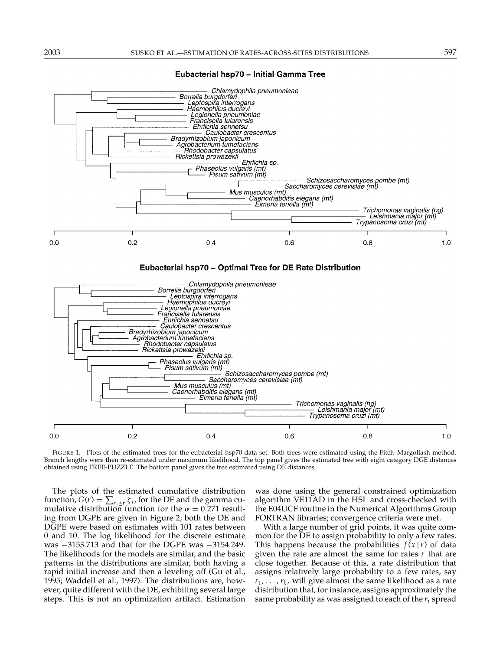# Eubacterial hsp70 - Initial Gamma Tree



#### Eubacterial hsp70 - Optimal Tree for DE Rate Distribution



FIGURE 1. Plots of the estimated trees for the eubacterial hsp70 data set. Both trees were estimated using the Fitch–Margoliash method. Branch lengths were then re-estimated under maximum likelihood. The top panel gives the estimated tree with eight category DGE distances obtained using TREE-PUZZLE. The bottom panel gives the tree estimated using DE distances.

The plots of the estimated cumulative distribution function,  $G(r) = \sum_{r_j \le r} \zeta_j$ , for the DE and the gamma cumulative distribution function for the  $\alpha = 0.271$  resulting from DGPE are given in Figure 2; both the DE and DGPE were based on estimates with 101 rates between 0 and 10. The log likelihood for the discrete estimate was −3153.713 and that for the DGPE was −3154.249. The likelihoods for the models are similar, and the basic patterns in the distributions are similar, both having a rapid initial increase and then a leveling off (Gu et al., 1995; Waddell et al., 1997). The distributions are, however, quite different with the DE, exhibiting several large steps. This is not an optimization artifact. Estimation was done using the general constrained optimization algorithm VE11AD in the HSL and cross-checked with the E04UCF routine in the Numerical Algorithms Group FORTRAN libraries; convergence criteria were met.

With a large number of grid points, it was quite common for the DE to assign probability to only a few rates. This happens because the probabilities  $f(x | r)$  of data given the rate are almost the same for rates *r* that are close together. Because of this, a rate distribution that assigns relatively large probability to a few rates, say  $r_1, \ldots, r_k$ , will give almost the same likelihood as a rate distribution that, for instance, assigns approximately the same probability as was assigned to each of the *ri* spread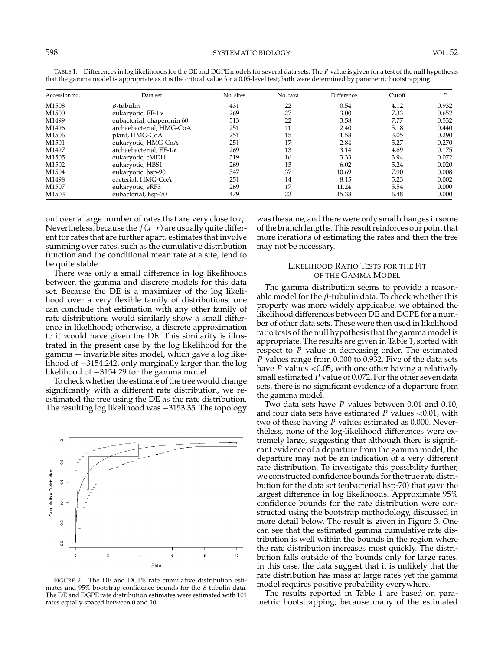| Accession no. | Data set                       | No. sites | No. taxa | Difference | Cutoff | Р     |
|---------------|--------------------------------|-----------|----------|------------|--------|-------|
| M1508         | $\beta$ -tubulin               | 431       | 22       | 0.54       | 4.12   | 0.932 |
| M1500         | eukaryotic, EF-1 $\alpha$      | 269       | 27       | 3.00       | 7.33   | 0.652 |
| M1499         | eubacterial, chaperonin 60     | 513       | 22       | 3.58       | 7.77   | 0.532 |
| M1496         | archaebacterial, HMG-CoA       | 251       | 11       | 2.40       | 5.18   | 0.440 |
| M1506         | plant, HMG-CoA                 | 251       | 15       | 1.58       | 3.05   | 0.290 |
| M1501         | eukaryotic, HMG-CoA            | 251       | 17       | 2.84       | 5.27   | 0.270 |
| M1497         | archaebacterial, EF-1 $\alpha$ | 269       | 13       | 3.14       | 4.69   | 0.175 |
| M1505         | eukaryotic, cMDH               | 319       | 16       | 3.33       | 3.94   | 0.072 |
| M1502         | eukaryotic, HBS1               | 269       | 13       | 6.02       | 5.24   | 0.020 |
| M1504         | eukaryotic, hsp-90             | 547       | 37       | 10.69      | 7.90   | 0.008 |
| M1498         | eacterial, HMG-CoA             | 251       | 14       | 8.15       | 5.23   | 0.002 |
| M1507         | eukaryotic, eRF3               | 269       | 17       | 11.24      | 5.54   | 0.000 |
| M1503         | eubacterial, hsp-70            | 479       | 23       | 15.38      | 6.48   | 0.000 |

TABLE 1. Differences in log likelihoods for the DE and DGPE models for several data sets. The *P* value is given for a test of the null hypothesis that the gamma model is appropriate as it is the critical value for a 0.05-level test; both were determined by parametric bootstrapping.

out over a large number of rates that are very close to *ri* . Nevertheless, because the  $f(x | r)$  are usually quite different for rates that are further apart, estimates that involve summing over rates, such as the cumulative distribution function and the conditional mean rate at a site, tend to be quite stable.

There was only a small difference in log likelihoods between the gamma and discrete models for this data set. Because the DE is a maximizer of the log likelihood over a very flexible family of distributions, one can conclude that estimation with any other family of rate distributions would similarly show a small difference in likelihood; otherwise, a discrete approximation to it would have given the DE. This similarity is illustrated in the present case by the log likelihood for the gamma + invariable sites model, which gave a log likelihood of −3154.242, only marginally larger than the log likelihood of −3154.29 for the gamma model.

To check whether the estimate of the tree would change significantly with a different rate distribution, we reestimated the tree using the DE as the rate distribution. The resulting log likelihood was −3153.35. The topology



FIGURE 2. The DE and DGPE rate cumulative distribution estimates and 95% bootstrap confidence bounds for the  $\beta$ -tubulin data. The DE and DGPE rate distribution estimates were estimated with 101 rates equally spaced between 0 and 10.

was the same, and there were only small changes in some of the branch lengths. This result reinforces our point that more iterations of estimating the rates and then the tree may not be necessary.

# LIKELIHOOD RATIO TESTS FOR THE FIT OF THE GAMMA MODEL

The gamma distribution seems to provide a reasonable model for the  $\beta$ -tubulin data. To check whether this property was more widely applicable, we obtained the likelihood differences between DE and DGPE for a number of other data sets. These were then used in likelihood ratio tests of the null hypothesis that the gamma model is appropriate. The results are given in Table 1, sorted with respect to *P* value in decreasing order. The estimated *P* values range from 0.000 to 0.932. Five of the data sets have *P* values <0.05, with one other having a relatively small estimated *P* value of 0.072. For the other seven data sets, there is no significant evidence of a departure from the gamma model.

Two data sets have *P* values between 0.01 and 0.10, and four data sets have estimated *P* values <0.01, with two of these having *P* values estimated as 0.000. Nevertheless, none of the log-likelihood differences were extremely large, suggesting that although there is significant evidence of a departure from the gamma model, the departure may not be an indication of a very different rate distribution. To investigate this possibility further, we constructed confidence bounds for the true rate distribution for the data set (eubacterial hsp-70) that gave the largest difference in log likelihoods. Approximate 95% confidence bounds for the rate distribution were constructed using the bootstrap methodology, discussed in more detail below. The result is given in Figure 3. One can see that the estimated gamma cumulative rate distribution is well within the bounds in the region where the rate distribution increases most quickly. The distribution falls outside of the bounds only for large rates. In this case, the data suggest that it is unlikely that the rate distribution has mass at large rates yet the gamma model requires positive probability everywhere.

The results reported in Table 1 are based on parametric bootstrapping; because many of the estimated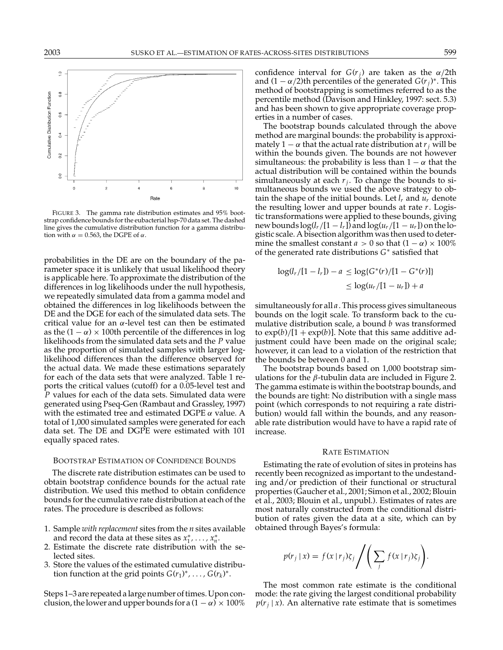

FIGURE 3. The gamma rate distribution estimates and 95% bootstrap confidence bounds for the eubacterial hsp-70 data set. The dashed line gives the cumulative distribution function for a gamma distribution with  $\alpha = 0.563$ , the DGPE of  $\alpha$ .

probabilities in the DE are on the boundary of the parameter space it is unlikely that usual likelihood theory is applicable here. To approximate the distribution of the differences in log likelihoods under the null hypothesis, we repeatedly simulated data from a gamma model and obtained the differences in log likelihoods between the DE and the DGE for each of the simulated data sets. The critical value for an  $\alpha$ -level test can then be estimated as the  $(1 - \alpha) \times 100$ th percentile of the differences in log likelihoods from the simulated data sets and the *P* value as the proportion of simulated samples with larger loglikelihood differences than the difference observed for the actual data. We made these estimations separately for each of the data sets that were analyzed. Table 1 reports the critical values (cutoff) for a 0.05-level test and *P* values for each of the data sets. Simulated data were generated using Pseq-Gen (Rambaut and Grassley, 1997) with the estimated tree and estimated DGPE  $\alpha$  value. A total of 1,000 simulated samples were generated for each data set. The DE and DGPE were estimated with 101 equally spaced rates.

# BOOTSTRAP ESTIMATION OF CONFIDENCE BOUNDS

The discrete rate distribution estimates can be used to obtain bootstrap confidence bounds for the actual rate distribution. We used this method to obtain confidence bounds for the cumulative rate distribution at each of the rates. The procedure is described as follows:

- 1. Sample *with replacement* sites from the *n* sites available and record the data at these sites as  $x_1^*, \ldots, x_n^*$ .
- 2. Estimate the discrete rate distribution with the selected sites.
- 3. Store the values of the estimated cumulative distribution function at the grid points  $G(r_1)^*, \ldots, G(r_k)^*$ .

Steps 1–3 are repeated a large number of times. Upon conclusion, the lower and upper bounds for a  $(1 - \alpha) \times 100\%$ 

confidence interval for  $G(r_i)$  are taken as the  $\alpha/2$ th and  $(1 - \alpha/2)$ th percentiles of the generated  $G(r_j)^*$ . This method of bootstrapping is sometimes referred to as the percentile method (Davison and Hinkley, 1997: sect. 5.3) and has been shown to give appropriate coverage properties in a number of cases.

The bootstrap bounds calculated through the above method are marginal bounds: the probability is approximately 1 –  $\alpha$  that the actual rate distribution at  $r_i$  will be within the bounds given. The bounds are not however simultaneous: the probability is less than  $1 - \alpha$  that the actual distribution will be contained within the bounds simultaneously at each  $r_i$ . To change the bounds to simultaneous bounds we used the above strategy to obtain the shape of the initial bounds. Let *lr* and *ur* denote the resulting lower and upper bounds at rate *r*. Logistic transformations were applied to these bounds, giving new bounds  $\log(l_r/[1 - l_r])$  and  $\log(u_r/[1 - u_r])$  on the logistic scale. A bisection algorithm was then used to determine the smallest constant  $a > 0$  so that  $(1 - \alpha) \times 100\%$ of the generated rate distributions *G*<sup>∗</sup> satisfied that

$$
\log(l_r/[1 - l_r]) - a \le \log\{G^*(r)/[1 - G^*(r)]\}
$$
  

$$
\le \log(u_r/[1 - u_r]) + a
$$

simultaneously for all *a*. This process gives simultaneous bounds on the logit scale. To transform back to the cumulative distribution scale, a bound *b* was transformed to  $\exp(b)/[1 + \exp(b)]$ . Note that this same additive adjustment could have been made on the original scale; however, it can lead to a violation of the restriction that the bounds be between 0 and 1.

The bootstrap bounds based on 1,000 bootstrap simulations for the  $\beta$ -tubulin data are included in Figure 2. The gamma estimate is within the bootstrap bounds, and the bounds are tight: No distribution with a single mass point (which corresponds to not requiring a rate distribution) would fall within the bounds, and any reasonable rate distribution would have to have a rapid rate of increase.

# RATE ESTIMATION

Estimating the rate of evolution of sites in proteins has recently been recognized as important to the undestanding and/or prediction of their functional or structural properties (Gaucher et al., 2001; Simon et al., 2002; Blouin et al., 2003; Blouin et al., unpubl.). Estimates of rates are most naturally constructed from the conditional distribution of rates given the data at a site, which can by obtained through Bayes's formula:

$$
p(r_j \mid x) = f(x \mid r_j) \zeta_j \Bigg/ \Bigg( \sum_j f(x \mid r_j) \zeta_j \Bigg).
$$

The most common rate estimate is the conditional mode: the rate giving the largest conditional probability  $p(r_j | x)$ . An alternative rate estimate that is sometimes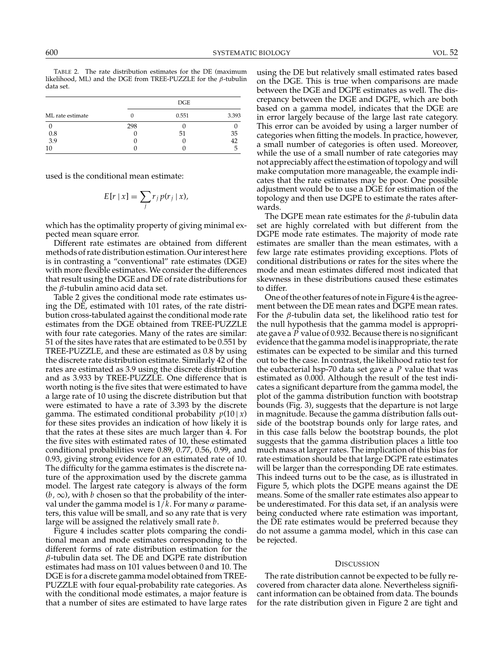TABLE 2. The rate distribution estimates for the DE (maximum likelihood, ML) and the DGE from TREE-PUZZLE for the  $\beta$ -tubulin data set.

|                   | DGE |       |       |  |
|-------------------|-----|-------|-------|--|
| ML rate estimate  |     | 0.551 | 3.393 |  |
|                   | 298 |       |       |  |
|                   |     | 51    | 35    |  |
| $\frac{0.8}{3.9}$ |     |       | 42    |  |
| 10                |     |       | 5     |  |

used is the conditional mean estimate:

$$
E[r \mid x] = \sum_j r_j p(r_j \mid x),
$$

which has the optimality property of giving minimal expected mean square error.

Different rate estimates are obtained from different methods of rate distribution estimation. Our interest here is in contrasting a "conventional" rate estimates (DGE) with more flexible estimates. We consider the differences that result using the DGE and DE of rate distributions for the  $\beta$ -tubulin amino acid data set.

Table 2 gives the conditional mode rate estimates using the DE, estimated with 101 rates, of the rate distribution cross-tabulated against the conditional mode rate estimates from the DGE obtained from TREE-PUZZLE with four rate categories. Many of the rates are similar: 51 of the sites have rates that are estimated to be 0.551 by TREE-PUZZLE, and these are estimated as 0.8 by using the discrete rate distribution estimate. Similarly 42 of the rates are estimated as 3.9 using the discrete distribution and as 3.933 by TREE-PUZZLE. One difference that is worth noting is the five sites that were estimated to have a large rate of 10 using the discrete distribution but that were estimated to have a rate of 3.393 by the discrete gamma. The estimated conditional probability  $p(10 | x)$ for these sites provides an indication of how likely it is that the rates at these sites are much larger than 4. For the five sites with estimated rates of 10, these estimated conditional probabilities were 0.89, 0.77, 0.56, 0.99, and 0.93, giving strong evidence for an estimated rate of 10. The difficulty for the gamma estimates is the discrete nature of the approximation used by the discrete gamma model. The largest rate category is always of the form  $(b, \infty)$ , with *b* chosen so that the probability of the interval under the gamma model is  $1/k$ . For many  $\alpha$  parameters, this value will be small, and so any rate that is very large will be assigned the relatively small rate *b*.

Figure 4 includes scatter plots comparing the conditional mean and mode estimates corresponding to the different forms of rate distribution estimation for the  $\beta$ -tubulin data set. The DE and DGPE rate distribution estimates had mass on 101 values between 0 and 10. The DGE is for a discrete gamma model obtained from TREE-PUZZLE with four equal-probability rate categories. As with the conditional mode estimates, a major feature is that a number of sites are estimated to have large rates using the DE but relatively small estimated rates based on the DGE. This is true when comparisons are made between the DGE and DGPE estimates as well. The discrepancy between the DGE and DGPE, which are both based on a gamma model, indicates that the DGE are in error largely because of the large last rate category. This error can be avoided by using a larger number of categories when fitting the models. In practice, however, a small number of categories is often used. Moreover, while the use of a small number of rate categories may not appreciably affect the estimation of topology and will make computation more manageable, the example indicates that the rate estimates may be poor. One possible adjustment would be to use a DGE for estimation of the topology and then use DGPE to estimate the rates afterwards.

The DGPE mean rate estimates for the  $\beta$ -tubulin data set are highly correlated with but different from the DGPE mode rate estimates. The majority of mode rate estimates are smaller than the mean estimates, with a few large rate estimates providing exceptions. Plots of conditional distributions or rates for the sites where the mode and mean estimates differed most indicated that skewness in these distributions caused these estimates to differ.

One of the other features of note in Figure 4 is the agreement between the DE mean rates and DGPE mean rates. For the  $\beta$ -tubulin data set, the likelihood ratio test for the null hypothesis that the gamma model is appropriate gave a *P* value of 0.932. Because there is no significant evidence that the gamma model is inappropriate, the rate estimates can be expected to be similar and this turned out to be the case. In contrast, the likelihood ratio test for the eubacterial hsp-70 data set gave a *P* value that was estimated as 0.000. Although the result of the test indicates a significant departure from the gamma model, the plot of the gamma distribution function with bootstrap bounds (Fig. 3), suggests that the departure is not large in magnitude. Because the gamma distribution falls outside of the bootstrap bounds only for large rates, and in this case falls below the bootstrap bounds, the plot suggests that the gamma distribution places a little too much mass at larger rates. The implication of this bias for rate estimation should be that large DGPE rate estimates will be larger than the corresponding DE rate estimates. This indeed turns out to be the case, as is illustrated in Figure 5, which plots the DGPE means against the DE means. Some of the smaller rate estimates also appear to be underestimated. For this data set, if an analysis were being conducted where rate estimation was important, the DE rate estimates would be preferred because they do not assume a gamma model, which in this case can be rejected.

# **DISCUSSION**

The rate distribution cannot be expected to be fully recovered from character data alone. Nevertheless significant information can be obtained from data. The bounds for the rate distribution given in Figure 2 are tight and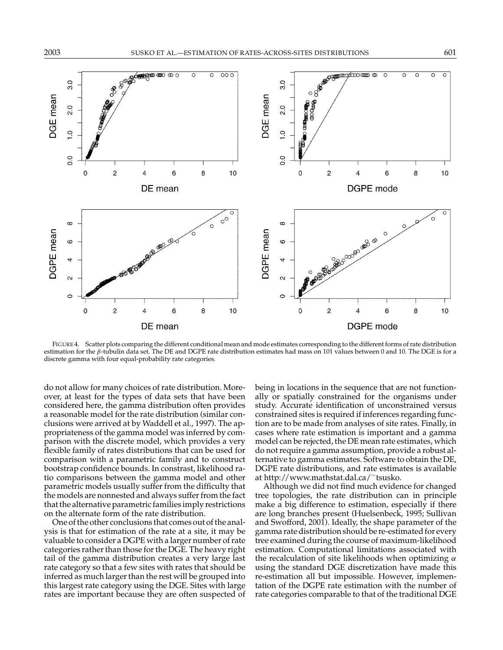

FIGURE 4. Scatter plots comparing the different conditional mean and mode estimates corresponding to the different forms of rate distribution estimation for the β-tubulin data set. The DE and DGPE rate distribution estimates had mass on 101 values between 0 and 10. The DGE is for a discrete gamma with four equal-probability rate categories.

do not allow for many choices of rate distribution. Moreover, at least for the types of data sets that have been considered here, the gamma distribution often provides a reasonable model for the rate distribution (similar conclusions were arrived at by Waddell et al., 1997). The appropriateness of the gamma model was inferred by comparison with the discrete model, which provides a very flexible family of rates distributions that can be used for comparison with a parametric family and to construct bootstrap confidence bounds. In constrast, likelihood ratio comparisons between the gamma model and other parametric models usually suffer from the difficulty that the models are nonnested and always suffer from the fact that the alternative parametric families imply restrictions on the alternate form of the rate distribution.

One of the other conclusions that comes out of the analysis is that for estimation of the rate at a site, it may be valuable to consider a DGPE with a larger number of rate categories rather than those for the DGE. The heavy right tail of the gamma distribution creates a very large last rate category so that a few sites with rates that should be inferred as much larger than the rest will be grouped into this largest rate category using the DGE. Sites with large rates are important because they are often suspected of being in locations in the sequence that are not functionally or spatially constrained for the organisms under study. Accurate identification of unconstrained versus constrained sites is required if inferences regarding function are to be made from analyses of site rates. Finally, in cases where rate estimation is important and a gamma model can be rejected, the DE mean rate estimates, which do not require a gamma assumption, provide a robust alternative to gamma estimates. Software to obtain the DE, DGPE rate distributions, and rate estimates is available at http://www.mathstat.dal.ca/<sup>∼</sup>tsusko.

Although we did not find much evidence for changed tree topologies, the rate distribution can in principle make a big difference to estimation, especially if there are long branches present (Huelsenbeck, 1995; Sullivan and Swofford, 2001). Ideally, the shape parameter of the gamma rate distribution should be re-estimated for every tree examined during the course of maximum-likelihood estimation. Computational limitations associated with the recalculation of site likelihoods when optimizing  $\alpha$ using the standard DGE discretization have made this re-estimation all but impossible. However, implementation of the DGPE rate estimation with the number of rate categories comparable to that of the traditional DGE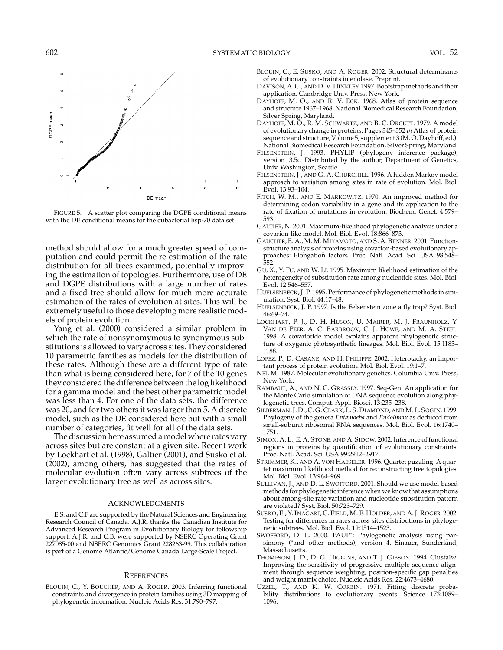

FIGURE 5. A scatter plot comparing the DGPE conditional means with the DE conditional means for the eubacterial hsp-70 data set.

method should allow for a much greater speed of computation and could permit the re-estimation of the rate distribution for all trees examined, potentially improving the estimation of topologies. Furthermore, use of DE and DGPE distributions with a large number of rates and a fixed tree should allow for much more accurate estimation of the rates of evolution at sites. This will be extremely useful to those developing more realistic models of protein evolution.

Yang et al. (2000) considered a similar problem in which the rate of nonsynomymous to synonymous substitutions is allowed to vary across sites. They considered 10 parametric families as models for the distribution of these rates. Although these are a different type of rate than what is being considered here, for 7 of the 10 genes they considered the difference between the log likelihood for a gamma model and the best other parametric model was less than 4. For one of the data sets, the difference was 20, and for two others it was larger than 5. A discrete model, such as the DE considered here but with a small number of categories, fit well for all of the data sets.

The discussion here assumed a model where rates vary across sites but are constant at a given site. Recent work by Lockhart et al. (1998), Galtier (2001), and Susko et al. (2002), among others, has suggested that the rates of molecular evolution often vary across subtrees of the larger evolutionary tree as well as across sites.

#### ACKNOWLEDGMENTS

E.S. and C.F are supported by the Natural Sciences and Engineering Research Council of Canada. A.J.R. thanks the Canadian Institute for Advanced Research Program in Evolutionary Biology for fellowship support. A.J.R. and C.B. were supported by NSERC Operating Grant 227085-00 and NSERC Genomics Grant 228263-99. This collaboration is part of a Genome Atlantic/Genome Canada Large-Scale Project.

#### **REFERENCES**

BLOUIN, C., Y. BOUCHER, AND A. ROGER. 2003. Inferring functional constraints and divergence in protein families using 3D mapping of phylogenetic information. Nucleic Acids Res. 31:790–797.

- BLOUIN, C., E. SUSKO, AND A. ROGER. 2002. Structural determinants of evolutionary constraints in enolase. Preprint.
- DAVISON, A. C., AND D. V. HINKLEY. 1997. Bootstrap methods and their application. Cambridge Univ. Press, New York.
- DAYHOFF, M. O., AND R. V. ECK. 1968. Atlas of protein sequence and structure 1967–1968. National Biomedical Research Foundation, Silver Spring, Maryland.
- DAYHOFF, M. O., R. M. SCHWARTZ, AND B. C. ORCUTT. 1979. A model of evolutionary change in proteins. Pages 345–352 *in* Atlas of protein sequence and structure, Volume 5, supplement 3 (M. O. Dayhoff, ed.). National Biomedical Research Foundation, Silver Spring, Maryland.
- FELSENSTEIN, J. 1993. PHYLIP (phylogeny inference package), version 3.5c. Distributed by the author, Department of Genetics, Univ. Washington, Seattle.
- FELSENSTEIN, J., AND G. A. CHURCHILL. 1996. A hidden Markov model approach to variation among sites in rate of evolution. Mol. Biol. Evol. 13:93–104.
- FITCH, W. M., AND E. MARKOWITZ. 1970. An improved method for determining codon variability in a gene and its application to the rate of fixation of mutations in evolution. Biochem. Genet. 4:579– 593.
- GALTIER, N. 2001. Maximum-likelihood phylogenetic analysis under a covarion-like model. Mol. Biol. Evol. 18:866–873.
- GAUCHER, E. A., M. M. MIYAMOTO, AND S. A. BENNER. 2001. Functionstructure analysis of proteins using covarion-based evolutionary approaches: Elongation factors. Proc. Natl. Acad. Sci. USA 98:548– 552.
- GU, X., Y. FU, AND W. LI. 1995. Maximum likelihood estimation of the heterogeneity of substitution rate among nucleotide sites. Mol. Biol. Evol. 12:546–557.
- HUELSENBECK, J. P. 1995. Performance of phylogenetic methods in simulation. Syst. Biol. 44:17–48.
- HUELSENBECK, J. P. 1997. Is the Felsenstein zone a fly trap? Syst. Biol. 46:69–74.
- LOCKHART, P. J., D. H. HUSON, U. MAIRER, M. J. FRAUNHOLZ, Y. VAN DE PEER, A. C. BARBROOK, C. J. HOWE, AND M. A. STEEL. 1998. A covariotide model explains apparent phylogenetic structure of oxygenic photosynthetic lineages. Mol. Biol. Evol. 15:1183– 1188.
- LOPEZ, P., D. CASANE, AND H. PHILIPPE. 2002. Heterotachy, an important process of protein evolution. Mol. Biol. Evol. 19:1–7
- NEI, M. 1987. Molecular evolutionary genetics. Columbia Univ. Press, New York.
- RAMBAUT, A., AND N. C. GRASSLY. 1997. Seq-Gen: An application for the Monte Carlo simulation of DNA sequence evolution along phylogenetic trees. Comput. Appl. Biosci. 13:235–238.
- SILBERMAN, J. D., C. G. CLARK, L. S. DIAMOND, AND M. L. SOGIN. 1999. Phylogeny of the genera *Entamoeba* and *Endolimax* as deduced from small-subunit ribosomal RNA sequences. Mol. Biol. Evol. 16:1740– 1751.
- SIMON, A. L., E. A. STONE, AND A. SIDOW. 2002. Inference of functional regions in proteins by quantification of evolutionary constraints. Proc. Natl. Acad. Sci. USA 99:2912–2917.
- STRIMMER, K., AND A. VON HAESELER. 1996. Quartet puzzling: A quartet maximum likelihood method for reconstructing tree topologies. Mol. Biol. Evol. 13:964–969.
- SULLIVAN, J., AND D. L. SWOFFORD. 2001. Should we use model-based methods for phylogenetic inference when we know that assumptions about among-site rate variation and nucleotide substitution pattern are violated? Syst. Biol. 50:723–729.
- SUSKO, E., Y. INAGAKI, C. FIELD, M. E. HOLDER, AND A. J. ROGER. 2002. Testing for differences in rates across sites distributions in phylogenetic subtrees. Mol. Biol. Evol. 19:1514–1523.
- SWOFFORD, D. L. 2000. PAUP<sup>∗</sup>: Phylogenetic analysis using parsimony (\*and other methods), version 4. Sinauer, Sunderland, **Massachusetts**
- THOMPSON, J. D., D. G. HIGGINS, AND T. J. GIBSON. 1994. Clustalw: Improving the sensitivity of progressive multiple sequence alignment through sequence weighting, position-specific gap penalties and weight matrix choice. Nucleic Acids Res. 22:4673–4680.
- UZZEL, T., AND K. W. CORBIN. 1971. Fitting discrete probability distributions to evolutionary events. Science 173:1089– 1096.